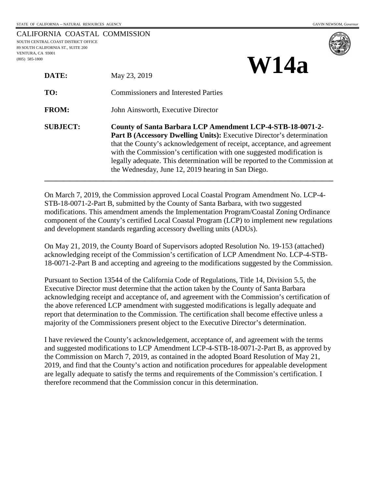**W14a**

|                                     | CALIFORNIA COASTAL COMMISSION |
|-------------------------------------|-------------------------------|
| SOUTH CENTRAL COAST DISTRICT OFFICE |                               |
| 89 SOUTH CALIFORNIA ST., SUITE 200  |                               |
| VENTURA. CA 93001                   |                               |
| $(805)$ 585-1800                    |                               |
|                                     |                               |



| DATE:           | May 23, 2019                                                                                                                                                                                                                                                                                                                                                                                                                        |  |
|-----------------|-------------------------------------------------------------------------------------------------------------------------------------------------------------------------------------------------------------------------------------------------------------------------------------------------------------------------------------------------------------------------------------------------------------------------------------|--|
| TO:             | <b>Commissioners and Interested Parties</b>                                                                                                                                                                                                                                                                                                                                                                                         |  |
| <b>FROM:</b>    | John Ainsworth, Executive Director                                                                                                                                                                                                                                                                                                                                                                                                  |  |
| <b>SUBJECT:</b> | County of Santa Barbara LCP Amendment LCP-4-STB-18-0071-2-<br><b>Part B (Accessory Dwelling Units):</b> Executive Director's determination<br>that the County's acknowledgement of receipt, acceptance, and agreement<br>with the Commission's certification with one suggested modification is<br>legally adequate. This determination will be reported to the Commission at<br>the Wednesday, June 12, 2019 hearing in San Diego. |  |

On March 7, 2019, the Commission approved Local Coastal Program Amendment No. LCP-4- STB-18-0071-2-Part B, submitted by the County of Santa Barbara, with two suggested modifications. This amendment amends the Implementation Program/Coastal Zoning Ordinance component of the County's certified Local Coastal Program (LCP) to implement new regulations and development standards regarding accessory dwelling units (ADUs).

On May 21, 2019, the County Board of Supervisors adopted Resolution No. 19-153 (attached) acknowledging receipt of the Commission's certification of LCP Amendment No. LCP-4-STB-18-0071-2-Part B and accepting and agreeing to the modifications suggested by the Commission.

Pursuant to Section 13544 of the California Code of Regulations, Title 14, Division 5.5, the Executive Director must determine that the action taken by the County of Santa Barbara acknowledging receipt and acceptance of, and agreement with the Commission's certification of the above referenced LCP amendment with suggested modifications is legally adequate and report that determination to the Commission. The certification shall become effective unless a majority of the Commissioners present object to the Executive Director's determination.

I have reviewed the County's acknowledgement, acceptance of, and agreement with the terms and suggested modifications to LCP Amendment LCP-4-STB-18-0071-2-Part B, as approved by the Commission on March 7, 2019, as contained in the adopted Board Resolution of May 21, 2019, and find that the County's action and notification procedures for appealable development are legally adequate to satisfy the terms and requirements of the Commission's certification. I therefore recommend that the Commission concur in this determination.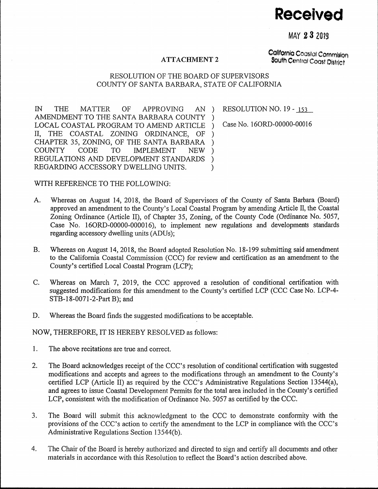**Received** 

MAY 2 8 2019

## ATTACHMENT 2

California Coastal Commlslon South Central Coast District

## RESOLUTION OF THE BOARD OF SUPERVISORS COUNTY OF SANTA BARBARA, STATE OF CALIFORNIA

IN THE MATTER OF APPROVING AN AMENDMENT TO THE SANTA BARBARA COUNTY LOCAL COASTAL PROGRAM TO AMEND ARTICLE II, THE COASTAL ZONING ORDINANCE, OF CHAPTER 35, ZONING, OF THE SANTA BARBARA COUNTY CODE TO IMPLEMENT NEW REGULATIONS AND DEVELOPMENT STANDARDS REGARDING ACCESSORY DWELLING UNITS. )  $\lambda$ ) ) ) )

RESOLUTION NO. 19 - 153

) Case No. 160RD-00000-00016

WITH REFERENCE TO THE FOLLOWING:

- A. Whereas on August 14, 2018, the Board of Supervisors of the County of Santa Barbara (Board) approved an amendment to the County's Local Coastal Program by amending Article II, the Coastal Zoning Ordinance (Article II), of Chapter 35, Zoning, of the County Code (Ordinance No. 5057, Case No. 160RD-00000-000016), to implement new regulations and developments standards regarding accessory dwelling units (ADUs);
- B. Whereas on August 14, 2018, the Board adopted Resolution No. 18-199 submitting said amendment to the California Coastal Commission (CCC) for review and certification as an amendment to the County's certified Local Coastal Program (LCP);
- C. Whereas on March 7, 2019, the CCC approved a resolution of conditional certification with suggested modifications for this amendment to the County's certified LCP (CCC Case No. LCP-4- STB-18-0071-2-Part B); and
- D. Whereas the Board finds the suggested modifications to be acceptable.

NOW, THEREFORE, IT IS HEREBY RESOLVED as follows:

- 1. The above recitations are true and correct.
- 2. The Board acknowledges receipt of the CCC's resolution of conditional certification with suggested modifications and accepts and agrees to the modifications through an amendment to the County's certified LCP (Article II) as required by the CCC's Administrative Regulations Section 13544(a), and agrees to issue Coastal Development Permits for the total area included in the County's certified LCP, consistent with the modification of Ordinance No. 5057 as certified by the CCC.
- 3. The Board will submit this acknowledgment to the CCC to demonstrate conformity with the provisions of the CCC's action to certify the amendment to the LCP in compliance with the CCC's Administrative Regulations Section 13544(b).
- 4. The Chair of the Board is hereby authorized and directed to sign and certify all documents and other materials in accordance with this Resolution to reflect the Board's action described above.